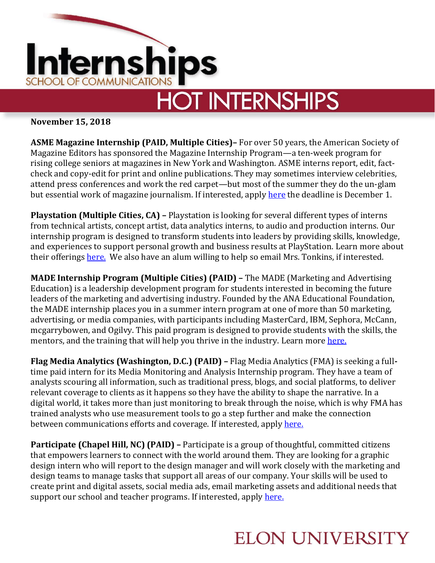

## **HOT INTERNSHIPS**

**November 15, 2018**

**ASME Magazine Internship (PAID, Multiple Cities)–** For over 50 years, the American Society of Magazine Editors has sponsored the Magazine Internship Program—a ten-week program for rising college seniors at magazines in New York and Washington. ASME interns report, edit, factcheck and copy-edit for print and online publications. They may sometimes interview celebrities, attend press conferences and work the red carpet—but most of the summer they do the un-glam but essential work of magazine journalism. If interested, appl[y here](https://asmeinternship.secure-platform.com/a) the deadline is December 1.

**Playstation (Multiple Cities, CA) –** Playstation is looking for several different types of interns from technical artists, concept artist, data analytics interns, to audio and production interns. Our internship program is designed to transform students into leaders by providing skills, knowledge, and experiences to support personal growth and business results at PlayStation. Learn more about their offerings [here.](https://www.playstation.com/en-us/corporate/about/careers/internships/#joblistings) We also have an alum willing to help so email Mrs. Tonkins, if interested.

**MADE Internship Program (Multiple Cities) (PAID) –** The MADE (Marketing and Advertising Education) is a leadership development program for students interested in becoming the future leaders of the marketing and advertising industry. Founded by the ANA Educational Foundation, the MADE internship places you in a summer intern program at one of more than 50 marketing, advertising, or media companies, with participants including MasterCard, IBM, Sephora, McCann, mcgarrybowen, and Ogilvy. This paid program is designed to provide students with the skills, the mentors, and the training that will help you thrive in the industry. Learn mor[e here.](https://aef.com/building-talent/made-internship-program/made-students/)

**Flag Media Analytics (Washington, D.C.) (PAID) –** Flag Media Analytics (FMA) is seeking a fulltime paid intern for its Media Monitoring and Analysis Internship program. They have a team of analysts scouring all information, such as traditional press, blogs, and social platforms, to deliver relevant coverage to clients as it happens so they have the ability to shape the narrative. In a digital world, it takes more than just monitoring to break through the noise, which is why FMA has trained analysts who use measurement tools to go a step further and make the connection between communications efforts and coverage. If interested, apply here.

**Participate (Chapel Hill, NC) (PAID) –** Participate is a group of thoughtful, committed citizens that empowers learners to connect with the world around them. They are looking for a graphic design intern who will report to the design manager and will work closely with the marketing and design teams to manage tasks that support all areas of our company. Your skills will be used to create print and digital assets, social media ads, email marketing assets and additional needs that support our school and teacher programs. If interested, apply [here.](https://recruiting.ultipro.com/CEN1023TCFIE/JobBoard/fd9453ae-474f-40b5-ad97-42175627cfa4/OpportunityDetail?opportunityId=6fa5d08d-31c9-4647-92f1-9dfd42e50874)

## **ELON UNIVERSITY**